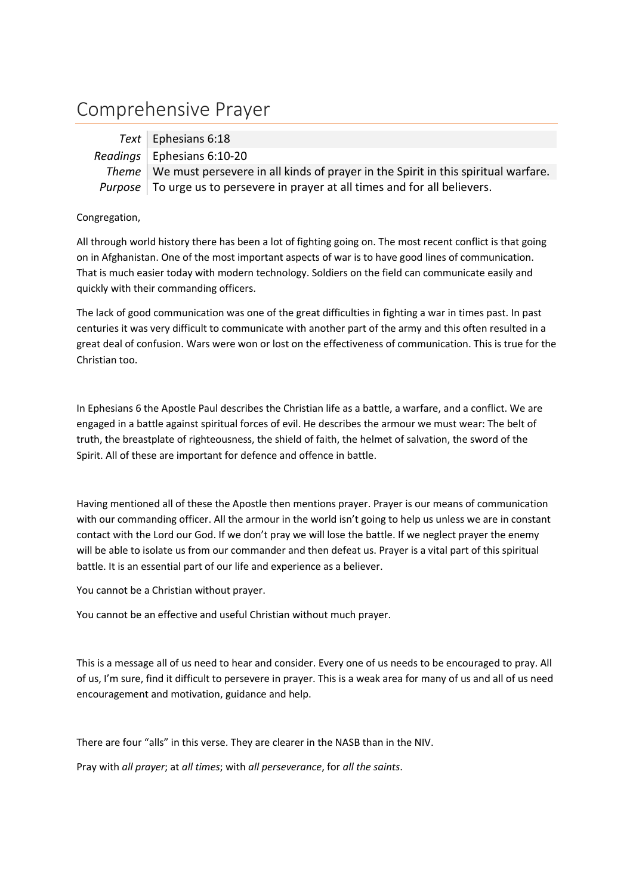## Comprehensive Prayer

| Text   Ephesians 6:18                                                                     |
|-------------------------------------------------------------------------------------------|
| Readings   Ephesians $6:10-20$                                                            |
| Theme   We must persevere in all kinds of prayer in the Spirit in this spiritual warfare. |
| <i>Purpose</i>   To urge us to persevere in prayer at all times and for all believers.    |

## Congregation,

All through world history there has been a lot of fighting going on. The most recent conflict is that going on in Afghanistan. One of the most important aspects of war is to have good lines of communication. That is much easier today with modern technology. Soldiers on the field can communicate easily and quickly with their commanding officers.

The lack of good communication was one of the great difficulties in fighting a war in times past. In past centuries it was very difficult to communicate with another part of the army and this often resulted in a great deal of confusion. Wars were won or lost on the effectiveness of communication. This is true for the Christian too.

In Ephesians 6 the Apostle Paul describes the Christian life as a battle, a warfare, and a conflict. We are engaged in a battle against spiritual forces of evil. He describes the armour we must wear: The belt of truth, the breastplate of righteousness, the shield of faith, the helmet of salvation, the sword of the Spirit. All of these are important for defence and offence in battle.

Having mentioned all of these the Apostle then mentions prayer. Prayer is our means of communication with our commanding officer. All the armour in the world isn't going to help us unless we are in constant contact with the Lord our God. If we don't pray we will lose the battle. If we neglect prayer the enemy will be able to isolate us from our commander and then defeat us. Prayer is a vital part of this spiritual battle. It is an essential part of our life and experience as a believer.

You cannot be a Christian without prayer.

You cannot be an effective and useful Christian without much prayer.

This is a message all of us need to hear and consider. Every one of us needs to be encouraged to pray. All of us, I'm sure, find it difficult to persevere in prayer. This is a weak area for many of us and all of us need encouragement and motivation, guidance and help.

There are four "alls" in this verse. They are clearer in the NASB than in the NIV.

Pray with *all prayer*; at *all times*; with *all perseverance*, for *all the saints*.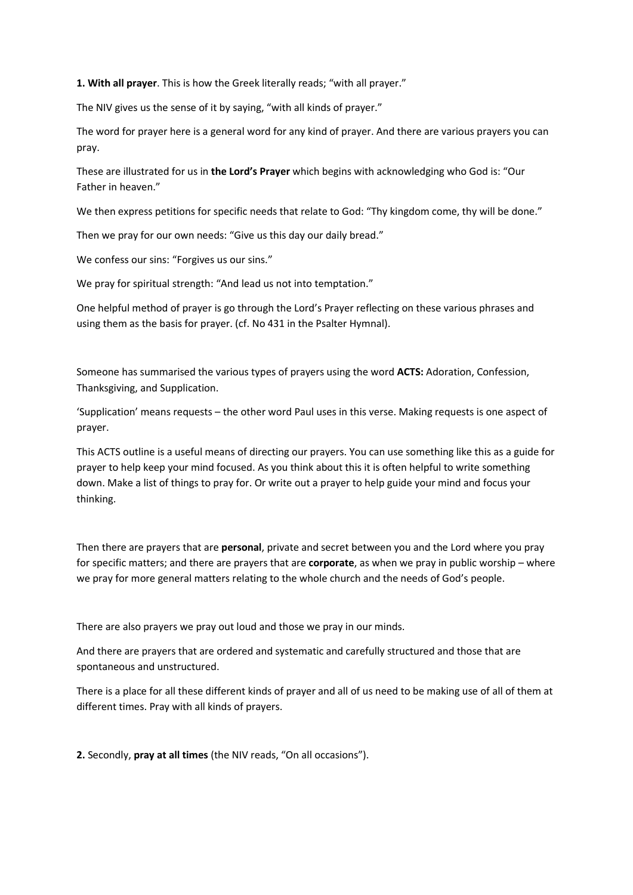**1. With all prayer**. This is how the Greek literally reads; "with all prayer."

The NIV gives us the sense of it by saying, "with all kinds of prayer."

The word for prayer here is a general word for any kind of prayer. And there are various prayers you can pray.

These are illustrated for us in **the Lord's Prayer** which begins with acknowledging who God is: "Our Father in heaven."

We then express petitions for specific needs that relate to God: "Thy kingdom come, thy will be done."

Then we pray for our own needs: "Give us this day our daily bread."

We confess our sins: "Forgives us our sins."

We pray for spiritual strength: "And lead us not into temptation."

One helpful method of prayer is go through the Lord's Prayer reflecting on these various phrases and using them as the basis for prayer. (cf. No 431 in the Psalter Hymnal).

Someone has summarised the various types of prayers using the word **ACTS:** Adoration, Confession, Thanksgiving, and Supplication.

'Supplication' means requests – the other word Paul uses in this verse. Making requests is one aspect of prayer.

This ACTS outline is a useful means of directing our prayers. You can use something like this as a guide for prayer to help keep your mind focused. As you think about this it is often helpful to write something down. Make a list of things to pray for. Or write out a prayer to help guide your mind and focus your thinking.

Then there are prayers that are **personal**, private and secret between you and the Lord where you pray for specific matters; and there are prayers that are **corporate**, as when we pray in public worship – where we pray for more general matters relating to the whole church and the needs of God's people.

There are also prayers we pray out loud and those we pray in our minds.

And there are prayers that are ordered and systematic and carefully structured and those that are spontaneous and unstructured.

There is a place for all these different kinds of prayer and all of us need to be making use of all of them at different times. Pray with all kinds of prayers.

**2.** Secondly, **pray at all times** (the NIV reads, "On all occasions").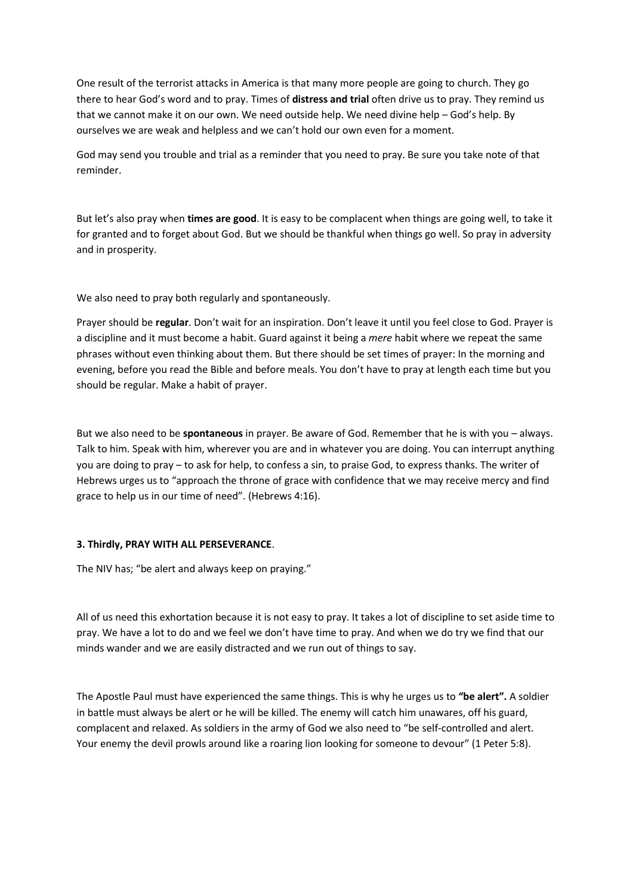One result of the terrorist attacks in America is that many more people are going to church. They go there to hear God's word and to pray. Times of **distress and trial** often drive us to pray. They remind us that we cannot make it on our own. We need outside help. We need divine help – God's help. By ourselves we are weak and helpless and we can't hold our own even for a moment.

God may send you trouble and trial as a reminder that you need to pray. Be sure you take note of that reminder.

But let's also pray when **times are good**. It is easy to be complacent when things are going well, to take it for granted and to forget about God. But we should be thankful when things go well. So pray in adversity and in prosperity.

We also need to pray both regularly and spontaneously.

Prayer should be **regular**. Don't wait for an inspiration. Don't leave it until you feel close to God. Prayer is a discipline and it must become a habit. Guard against it being a *mere* habit where we repeat the same phrases without even thinking about them. But there should be set times of prayer: In the morning and evening, before you read the Bible and before meals. You don't have to pray at length each time but you should be regular. Make a habit of prayer.

But we also need to be **spontaneous** in prayer. Be aware of God. Remember that he is with you – always. Talk to him. Speak with him, wherever you are and in whatever you are doing. You can interrupt anything you are doing to pray – to ask for help, to confess a sin, to praise God, to express thanks. The writer of Hebrews urges us to "approach the throne of grace with confidence that we may receive mercy and find grace to help us in our time of need". (Hebrews 4:16).

## **3. Thirdly, PRAY WITH ALL PERSEVERANCE**.

The NIV has; "be alert and always keep on praying."

All of us need this exhortation because it is not easy to pray. It takes a lot of discipline to set aside time to pray. We have a lot to do and we feel we don't have time to pray. And when we do try we find that our minds wander and we are easily distracted and we run out of things to say.

The Apostle Paul must have experienced the same things. This is why he urges us to **"be alert".** A soldier in battle must always be alert or he will be killed. The enemy will catch him unawares, off his guard, complacent and relaxed. As soldiers in the army of God we also need to "be self-controlled and alert. Your enemy the devil prowls around like a roaring lion looking for someone to devour" (1 Peter 5:8).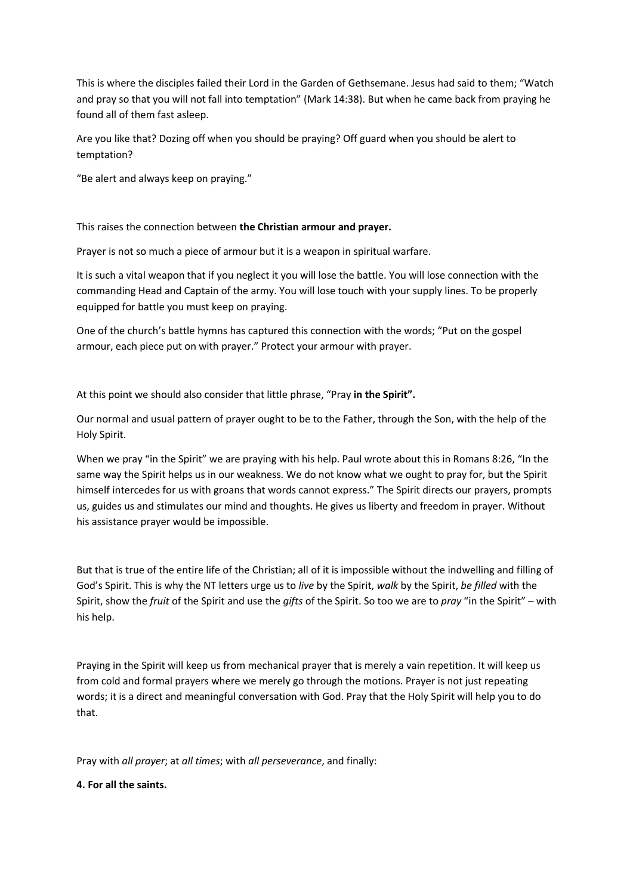This is where the disciples failed their Lord in the Garden of Gethsemane. Jesus had said to them; "Watch and pray so that you will not fall into temptation" (Mark 14:38). But when he came back from praying he found all of them fast asleep.

Are you like that? Dozing off when you should be praying? Off guard when you should be alert to temptation?

"Be alert and always keep on praying."

This raises the connection between **the Christian armour and prayer.**

Prayer is not so much a piece of armour but it is a weapon in spiritual warfare.

It is such a vital weapon that if you neglect it you will lose the battle. You will lose connection with the commanding Head and Captain of the army. You will lose touch with your supply lines. To be properly equipped for battle you must keep on praying.

One of the church's battle hymns has captured this connection with the words; "Put on the gospel armour, each piece put on with prayer." Protect your armour with prayer.

At this point we should also consider that little phrase, "Pray **in the Spirit".**

Our normal and usual pattern of prayer ought to be to the Father, through the Son, with the help of the Holy Spirit.

When we pray "in the Spirit" we are praying with his help. Paul wrote about this in Romans 8:26, "In the same way the Spirit helps us in our weakness. We do not know what we ought to pray for, but the Spirit himself intercedes for us with groans that words cannot express." The Spirit directs our prayers, prompts us, guides us and stimulates our mind and thoughts. He gives us liberty and freedom in prayer. Without his assistance prayer would be impossible.

But that is true of the entire life of the Christian; all of it is impossible without the indwelling and filling of God's Spirit. This is why the NT letters urge us to *live* by the Spirit, *walk* by the Spirit, *be filled* with the Spirit, show the *fruit* of the Spirit and use the *gifts* of the Spirit. So too we are to *pray* "in the Spirit" – with his help.

Praying in the Spirit will keep us from mechanical prayer that is merely a vain repetition. It will keep us from cold and formal prayers where we merely go through the motions. Prayer is not just repeating words; it is a direct and meaningful conversation with God. Pray that the Holy Spirit will help you to do that.

Pray with *all prayer*; at *all times*; with *all perseverance*, and finally:

**4. For all the saints.**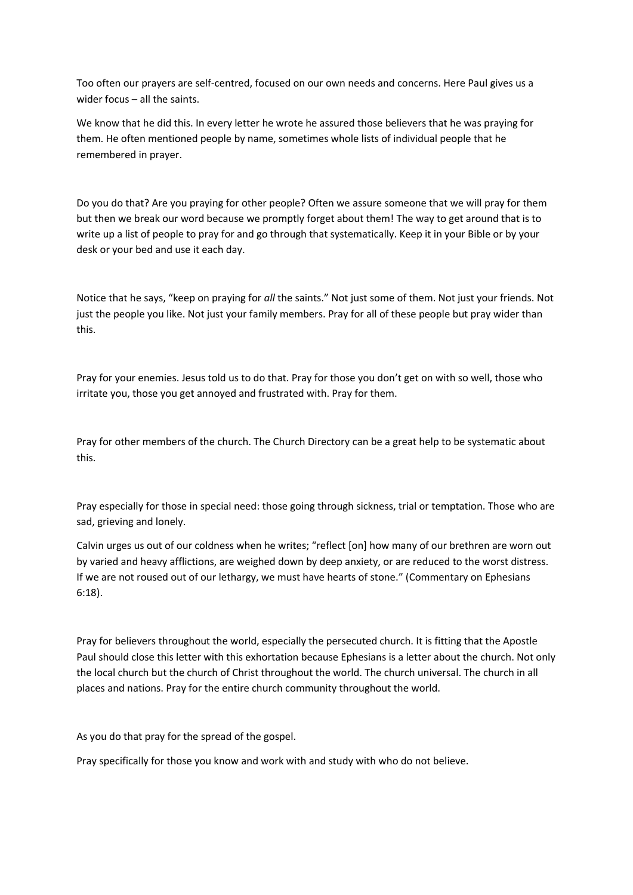Too often our prayers are self-centred, focused on our own needs and concerns. Here Paul gives us a wider focus – all the saints.

We know that he did this. In every letter he wrote he assured those believers that he was praying for them. He often mentioned people by name, sometimes whole lists of individual people that he remembered in prayer.

Do you do that? Are you praying for other people? Often we assure someone that we will pray for them but then we break our word because we promptly forget about them! The way to get around that is to write up a list of people to pray for and go through that systematically. Keep it in your Bible or by your desk or your bed and use it each day.

Notice that he says, "keep on praying for *all* the saints." Not just some of them. Not just your friends. Not just the people you like. Not just your family members. Pray for all of these people but pray wider than this.

Pray for your enemies. Jesus told us to do that. Pray for those you don't get on with so well, those who irritate you, those you get annoyed and frustrated with. Pray for them.

Pray for other members of the church. The Church Directory can be a great help to be systematic about this.

Pray especially for those in special need: those going through sickness, trial or temptation. Those who are sad, grieving and lonely.

Calvin urges us out of our coldness when he writes; "reflect [on] how many of our brethren are worn out by varied and heavy afflictions, are weighed down by deep anxiety, or are reduced to the worst distress. If we are not roused out of our lethargy, we must have hearts of stone." (Commentary on Ephesians 6:18).

Pray for believers throughout the world, especially the persecuted church. It is fitting that the Apostle Paul should close this letter with this exhortation because Ephesians is a letter about the church. Not only the local church but the church of Christ throughout the world. The church universal. The church in all places and nations. Pray for the entire church community throughout the world.

As you do that pray for the spread of the gospel.

Pray specifically for those you know and work with and study with who do not believe.